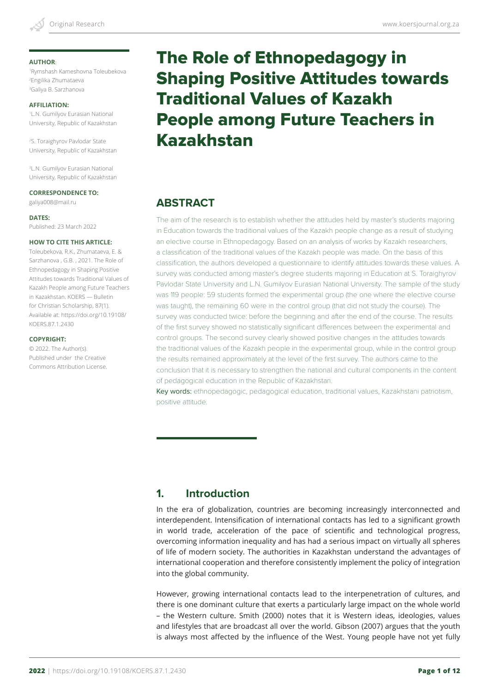1 Rymshash Kameshovna Toleubekova 2 Engilika Zhumataeva 3 Galiya B. Sarzhanova

#### **AFFILIATION:**

1 L.N. Gumilyov Eurasian National University, Republic of Kazakhstan

2 S. Toraighyrov Pavlodar State University, Republic of Kazakhstan

3 L.N. Gumilyov Eurasian National University, Republic of Kazakhstan

#### **CORRESPONDENCE TO:**

galiya008@mail.ru

#### **DATES:**

Published: 23 March 2022

#### **HOW TO CITE THIS ARTICLE:**

Toleubekova, R.K., Zhumataeva, E. & Sarzhanova , G.B. , 2021. The Role of Ethnopedagogy in Shaping Positive Attitudes towards Traditional Values of Kazakh People among Future Teachers in Kazakhstan. KOERS — Bulletin for Christian Scholarship, 87(1). Available at: https://doi.org/10.19108/ KOERS.87.1.2430

#### **COPYRIGHT:**

© 2022. The Author(s). Published under the Creative Commons Attribution License.

# The Role of Ethnopedagogy in Shaping Positive Attitudes towards Traditional Values of Kazakh People among Future Teachers in Kazakhstan

# **ABSTRACT**

The aim of the research is to establish whether the attitudes held by master's students majoring in Education towards the traditional values of the Kazakh people change as a result of studying an elective course in Ethnopedagogy. Based on an analysis of works by Kazakh researchers, a classification of the traditional values of the Kazakh people was made. On the basis of this classification, the authors developed a questionnaire to identify attitudes towards these values. A survey was conducted among master's degree students majoring in Education at S. Toraighyrov Pavlodar State University and L.N. Gumilyov Eurasian National University. The sample of the study was 119 people: 59 students formed the experimental group (the one where the elective course was taught), the remaining 60 were in the control group (that did not study the course). The survey was conducted twice: before the beginning and after the end of the course. The results of the first survey showed no statistically significant differences between the experimental and control groups. The second survey clearly showed positive changes in the attitudes towards the traditional values of the Kazakh people in the experimental group, while in the control group the results remained approximately at the level of the first survey. The authors came to the conclusion that it is necessary to strengthen the national and cultural components in the content of pedagogical education in the Republic of Kazakhstan.

Key words: ethnopedagogic, pedagogical education, traditional values, Kazakhstani patriotism, positive attitude.

# **1. Introduction**

In the era of globalization, countries are becoming increasingly interconnected and interdependent. Intensification of international contacts has led to a significant growth in world trade, acceleration of the pace of scientific and technological progress, overcoming information inequality and has had a serious impact on virtually all spheres of life of modern society. The authorities in Kazakhstan understand the advantages of international cooperation and therefore consistently implement the policy of integration into the global community.

However, growing international contacts lead to the interpenetration of cultures, and there is one dominant culture that exerts a particularly large impact on the whole world – the Western culture. Smith (2000) notes that it is Western ideas, ideologies, values and lifestyles that are broadcast all over the world. Gibson (2007) argues that the youth is always most affected by the influence of the West. Young people have not yet fully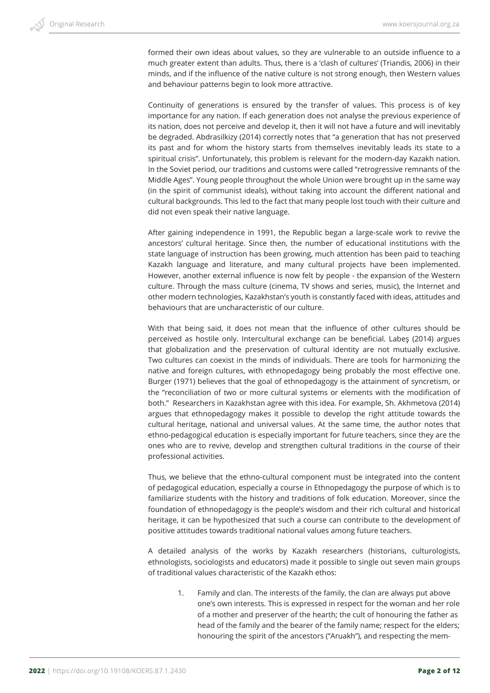formed their own ideas about values, so they are vulnerable to an outside influence to a much greater extent than adults. Thus, there is a 'clash of cultures' (Triandis, 2006) in their minds, and if the influence of the native culture is not strong enough, then Western values and behaviour patterns begin to look more attractive.

Continuity of generations is ensured by the transfer of values. This process is of key importance for any nation. If each generation does not analyse the previous experience of its nation, does not perceive and develop it, then it will not have a future and will inevitably be degraded. Abdrasilkizy (2014) correctly notes that "a generation that has not preserved its past and for whom the history starts from themselves inevitably leads its state to a spiritual crisis". Unfortunately, this problem is relevant for the modern-day Kazakh nation. In the Soviet period, our traditions and customs were called "retrogressive remnants of the Middle Ages". Young people throughout the whole Union were brought up in the same way (in the spirit of communist ideals), without taking into account the different national and cultural backgrounds. This led to the fact that many people lost touch with their culture and did not even speak their native language.

After gaining independence in 1991, the Republic began a large-scale work to revive the ancestors' cultural heritage. Since then, the number of educational institutions with the state language of instruction has been growing, much attention has been paid to teaching Kazakh language and literature, and many cultural projects have been implemented. However, another external influence is now felt by people - the expansion of the Western culture. Through the mass culture (cinema, TV shows and series, music), the Internet and other modern technologies, Kazakhstan's youth is constantly faced with ideas, attitudes and behaviours that are uncharacteristic of our culture.

With that being said, it does not mean that the influence of other cultures should be perceived as hostile only. Intercultural exchange can be beneficial. Labeş (2014) argues that globalization and the preservation of cultural identity are not mutually exclusive. Two cultures can coexist in the minds of individuals. There are tools for harmonizing the native and foreign cultures, with ethnopedagogy being probably the most effective one. Burger (1971) believes that the goal of ethnopedagogy is the attainment of syncretism, or the "reconciliation of two or more cultural systems or elements with the modification of both." Researchers in Kazakhstan agree with this idea. For example, Sh. Akhmetova (2014) argues that ethnopedagogy makes it possible to develop the right attitude towards the cultural heritage, national and universal values. At the same time, the author notes that ethno-pedagogical education is especially important for future teachers, since they are the ones who are to revive, develop and strengthen cultural traditions in the course of their professional activities.

Thus, we believe that the ethno-cultural component must be integrated into the content of pedagogical education, especially a course in Ethnopedagogy the purpose of which is to familiarize students with the history and traditions of folk education. Moreover, since the foundation of ethnopedagogy is the people's wisdom and their rich cultural and historical heritage, it can be hypothesized that such a course can contribute to the development of positive attitudes towards traditional national values among future teachers.

A detailed analysis of the works by Kazakh researchers (historians, culturologists, ethnologists, sociologists and educators) made it possible to single out seven main groups of traditional values characteristic of the Kazakh ethos:

1. Family and clan. The interests of the family, the clan are always put above one's own interests. This is expressed in respect for the woman and her role of a mother and preserver of the hearth; the cult of honouring the father as head of the family and the bearer of the family name; respect for the elders; honouring the spirit of the ancestors ("Aruakh"), and respecting the mem-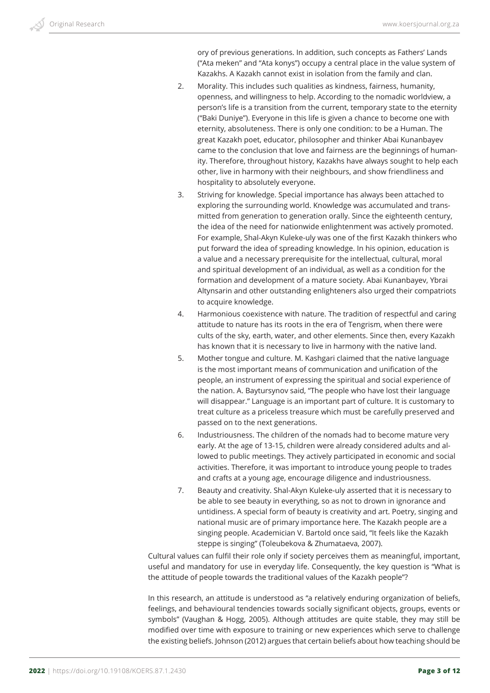ory of previous generations. In addition, such concepts as Fathers' Lands ("Ata meken" and "Ata konys") occupy a central place in the value system of Kazakhs. A Kazakh cannot exist in isolation from the family and clan.

- 2. Morality. This includes such qualities as kindness, fairness, humanity, openness, and willingness to help. According to the nomadic worldview, a person's life is a transition from the current, temporary state to the eternity ("Baki Duniye"). Everyone in this life is given a chance to become one with eternity, absoluteness. There is only one condition: to be a Human. The great Kazakh poet, educator, philosopher and thinker Abai Kunanbayev came to the conclusion that love and fairness are the beginnings of humanity. Therefore, throughout history, Kazakhs have always sought to help each other, live in harmony with their neighbours, and show friendliness and hospitality to absolutely everyone.
- 3. Striving for knowledge. Special importance has always been attached to exploring the surrounding world. Knowledge was accumulated and transmitted from generation to generation orally. Since the eighteenth century, the idea of the need for nationwide enlightenment was actively promoted. For example, Shal-Akyn Kuleke-uly was one of the first Kazakh thinkers who put forward the idea of spreading knowledge. In his opinion, education is a value and a necessary prerequisite for the intellectual, cultural, moral and spiritual development of an individual, as well as a condition for the formation and development of a mature society. Abai Kunanbayev, Ybrai Altynsarin and other outstanding enlighteners also urged their compatriots to acquire knowledge.
- 4. Harmonious coexistence with nature. The tradition of respectful and caring attitude to nature has its roots in the era of Tengrism, when there were cults of the sky, earth, water, and other elements. Since then, every Kazakh has known that it is necessary to live in harmony with the native land.
- 5. Mother tongue and culture. M. Kashgari claimed that the native language is the most important means of communication and unification of the people, an instrument of expressing the spiritual and social experience of the nation. A. Baytursynov said, "The people who have lost their language will disappear." Language is an important part of culture. It is customary to treat culture as a priceless treasure which must be carefully preserved and passed on to the next generations.
- 6. Industriousness. The children of the nomads had to become mature very early. At the age of 13-15, children were already considered adults and allowed to public meetings. They actively participated in economic and social activities. Therefore, it was important to introduce young people to trades and crafts at a young age, encourage diligence and industriousness.
- 7. Beauty and creativity. Shal-Akyn Kuleke-uly asserted that it is necessary to be able to see beauty in everything, so as not to drown in ignorance and untidiness. A special form of beauty is creativity and art. Poetry, singing and national music are of primary importance here. The Kazakh people are a singing people. Academician V. Bartold once said, "It feels like the Kazakh steppe is singing" (Toleubekova & Zhumataeva, 2007).

Cultural values can fulfil their role only if society perceives them as meaningful, important, useful and mandatory for use in everyday life. Consequently, the key question is "What is the attitude of people towards the traditional values of the Kazakh people"?

In this research, an attitude is understood as "a relatively enduring organization of beliefs, feelings, and behavioural tendencies towards socially significant objects, groups, events or symbols" (Vaughan & Hogg, 2005). Although attitudes are quite stable, they may still be modified over time with exposure to training or new experiences which serve to challenge the existing beliefs. Johnson (2012) argues that certain beliefs about how teaching should be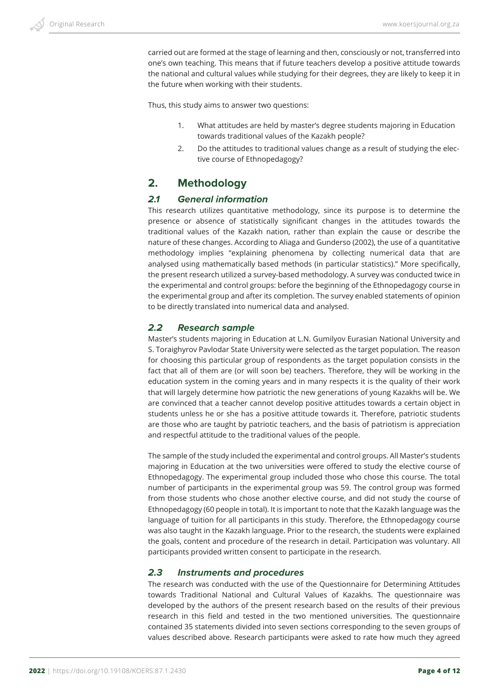carried out are formed at the stage of learning and then, consciously or not, transferred into one's own teaching. This means that if future teachers develop a positive attitude towards the national and cultural values while studying for their degrees, they are likely to keep it in the future when working with their students.

Thus, this study aims to answer two questions:

- 1. What attitudes are held by master's degree students majoring in Education towards traditional values of the Kazakh people?
- 2. Do the attitudes to traditional values change as a result of studying the elective course of Ethnopedagogy?

# **2. Methodology**

## *2.1 General information*

This research utilizes quantitative methodology, since its purpose is to determine the presence or absence of statistically significant changes in the attitudes towards the traditional values of the Kazakh nation, rather than explain the cause or describe the nature of these changes. According to Aliaga and Gunderso (2002), the use of a quantitative methodology implies "explaining phenomena by collecting numerical data that are analysed using mathematically based methods (in particular statistics)." More specifically, the present research utilized a survey-based methodology. A survey was conducted twice in the experimental and control groups: before the beginning of the Ethnopedagogy course in the experimental group and after its completion. The survey enabled statements of opinion to be directly translated into numerical data and analysed.

## *2.2 Research sample*

Master's students majoring in Education at L.N. Gumilyov Eurasian National University and S. Toraighyrov Pavlodar State University were selected as the target population. The reason for choosing this particular group of respondents as the target population consists in the fact that all of them are (or will soon be) teachers. Therefore, they will be working in the education system in the coming years and in many respects it is the quality of their work that will largely determine how patriotic the new generations of young Kazakhs will be. We are convinced that a teacher cannot develop positive attitudes towards a certain object in students unless he or she has a positive attitude towards it. Therefore, patriotic students are those who are taught by patriotic teachers, and the basis of patriotism is appreciation and respectful attitude to the traditional values of the people.

The sample of the study included the experimental and control groups. All Master's students majoring in Education at the two universities were offered to study the elective course of Ethnopedagogy. The experimental group included those who chose this course. The total number of participants in the experimental group was 59. The control group was formed from those students who chose another elective course, and did not study the course of Ethnopedagogy (60 people in total). It is important to note that the Kazakh language was the language of tuition for all participants in this study. Therefore, the Ethnopedagogy course was also taught in the Kazakh language. Prior to the research, the students were explained the goals, content and procedure of the research in detail. Participation was voluntary. All participants provided written consent to participate in the research.

## *2.3 Instruments and procedures*

The research was conducted with the use of the Questionnaire for Determining Attitudes towards Traditional National and Cultural Values of Kazakhs. The questionnaire was developed by the authors of the present research based on the results of their previous research in this field and tested in the two mentioned universities. The questionnaire contained 35 statements divided into seven sections corresponding to the seven groups of values described above. Research participants were asked to rate how much they agreed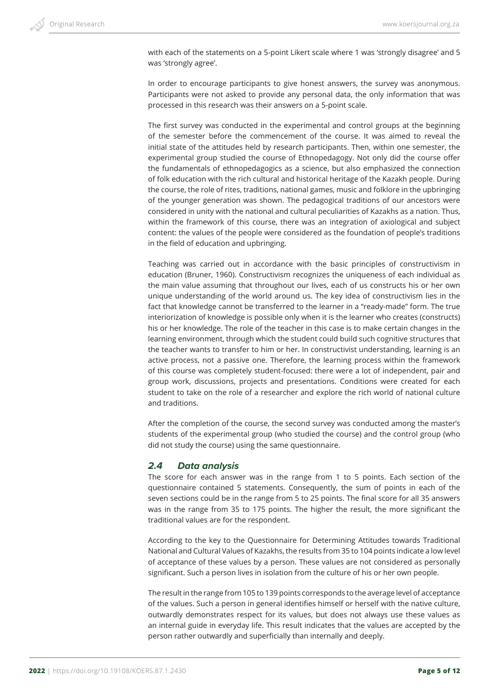with each of the statements on a 5-point Likert scale where 1 was 'strongly disagree' and 5 was 'strongly agree'.

In order to encourage participants to give honest answers, the survey was anonymous. Participants were not asked to provide any personal data, the only information that was processed in this research was their answers on a 5-point scale.

The first survey was conducted in the experimental and control groups at the beginning of the semester before the commencement of the course. It was aimed to reveal the initial state of the attitudes held by research participants. Then, within one semester, the experimental group studied the course of Ethnopedagogy. Not only did the course offer the fundamentals of ethnopedagogics as a science, but also emphasized the connection of folk education with the rich cultural and historical heritage of the Kazakh people. During the course, the role of rites, traditions, national games, music and folklore in the upbringing of the younger generation was shown. The pedagogical traditions of our ancestors were considered in unity with the national and cultural peculiarities of Kazakhs as a nation. Thus, within the framework of this course, there was an integration of axiological and subject content: the values of the people were considered as the foundation of people's traditions in the field of education and upbringing.

Teaching was carried out in accordance with the basic principles of constructivism in education (Bruner, 1960). Constructivism recognizes the uniqueness of each individual as the main value assuming that throughout our lives, each of us constructs his or her own unique understanding of the world around us. The key idea of constructivism lies in the fact that knowledge cannot be transferred to the learner in a "ready-made" form. The true interiorization of knowledge is possible only when it is the learner who creates (constructs) his or her knowledge. The role of the teacher in this case is to make certain changes in the learning environment, through which the student could build such cognitive structures that the teacher wants to transfer to him or her. In constructivist understanding, learning is an active process, not a passive one. Therefore, the learning process within the framework of this course was completely student-focused: there were a lot of independent, pair and group work, discussions, projects and presentations. Conditions were created for each student to take on the role of a researcher and explore the rich world of national culture and traditions.

After the completion of the course, the second survey was conducted among the master's students of the experimental group (who studied the course) and the control group (who did not study the course) using the same questionnaire.

## *2.4 Data analysis*

The score for each answer was in the range from 1 to 5 points. Each section of the questionnaire contained 5 statements. Consequently, the sum of points in each of the seven sections could be in the range from 5 to 25 points. The final score for all 35 answers was in the range from 35 to 175 points. The higher the result, the more significant the traditional values are for the respondent.

According to the key to the Questionnaire for Determining Attitudes towards Traditional National and Cultural Values of Kazakhs, the results from 35 to 104 points indicate a low level of acceptance of these values by a person. These values are not considered as personally significant. Such a person lives in isolation from the culture of his or her own people.

The result in the range from 105 to 139 points corresponds to the average level of acceptance of the values. Such a person in general identifies himself or herself with the native culture, outwardly demonstrates respect for its values, but does not always use these values as an internal guide in everyday life. This result indicates that the values are accepted by the person rather outwardly and superficially than internally and deeply.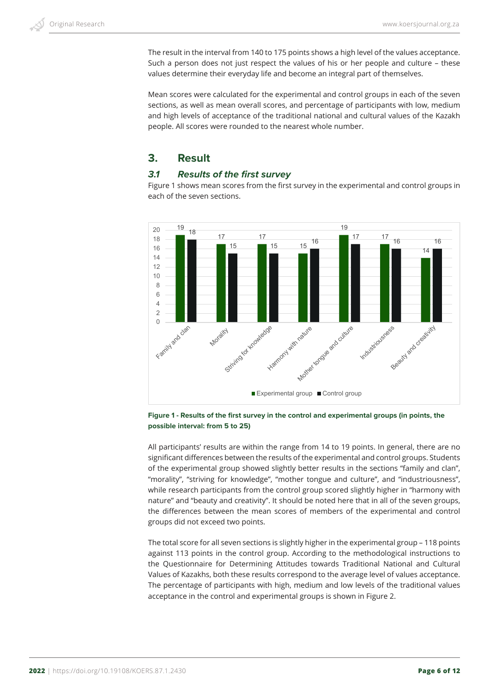The result in the interval from 140 to 175 points shows a high level of the values acceptance. Such a person does not just respect the values of his or her people and culture – these values determine their everyday life and become an integral part of themselves.

Mean scores were calculated for the experimental and control groups in each of the seven sections, as well as mean overall scores, and percentage of participants with low, medium and high levels of acceptance of the traditional national and cultural values of the Kazakh people. All scores were rounded to the nearest whole number.

# **3. Result**

## *3.1 Results of the first survey*

Figure 1 shows mean scores from the first survey in the experimental and control groups in each of the seven sections.





All participants' results are within the range from 14 to 19 points. In general, there are no significant differences between the results of the experimental and control groups. Students of the experimental group showed slightly better results in the sections "family and clan", "morality", "striving for knowledge", "mother tongue and culture", and "industriousness", while research participants from the control group scored slightly higher in "harmony with nature" and "beauty and creativity". It should be noted here that in all of the seven groups, the differences between the mean scores of members of the experimental and control groups did not exceed two points.

The total score for all seven sections is slightly higher in the experimental group – 118 points against 113 points in the control group. According to the methodological instructions to the Questionnaire for Determining Attitudes towards Traditional National and Cultural Values of Kazakhs, both these results correspond to the average level of values acceptance. The percentage of participants with high, medium and low levels of the traditional values acceptance in the control and experimental groups is shown in Figure 2.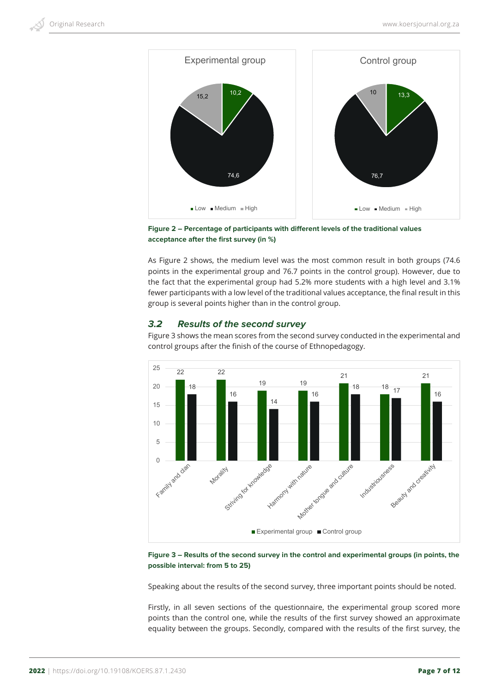



As Figure 2 shows, the medium level was the most common result in both groups (74.6 points in the experimental group and 76.7 points in the control group). However, due to the fact that the experimental group had 5.2% more students with a high level and 3.1% fewer participants with a low level of the traditional values acceptance, the final result in this group is several points higher than in the control group.

## *3.2 Results of the second survey*

Figure 3 shows the mean scores from the second survey conducted in the experimental and control groups after the finish of the course of Ethnopedagogy.



**Figure 3 – Results of the second survey in the control and experimental groups (in points, the possible interval: from 5 to 25)**

Speaking about the results of the second survey, three important points should be noted.

Firstly, in all seven sections of the questionnaire, the experimental group scored more points than the control one, while the results of the first survey showed an approximate equality between the groups. Secondly, compared with the results of the first survey, the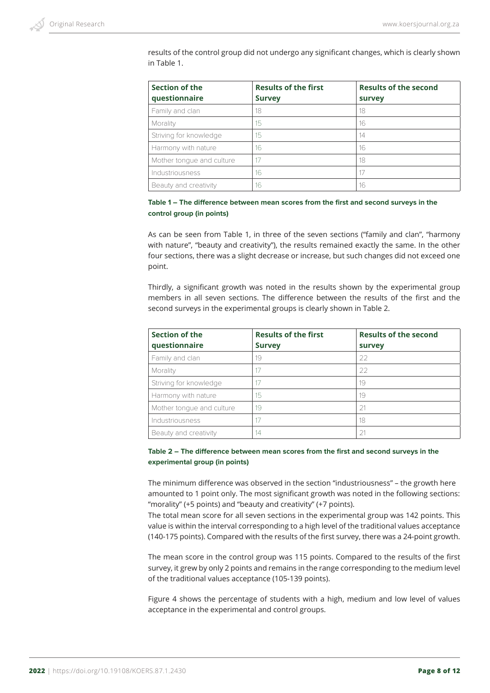results of the control group did not undergo any significant changes, which is clearly shown in Table 1.

| Section of the<br>questionnaire | <b>Results of the first</b><br><b>Survey</b> | <b>Results of the second</b><br>survey |
|---------------------------------|----------------------------------------------|----------------------------------------|
| Family and clan                 | 18                                           | 18                                     |
| Morality                        | 15                                           | 16                                     |
| Striving for knowledge          | 15                                           | 14                                     |
| Harmony with nature             | 16                                           | 16                                     |
| Mother tonque and culture       | 17                                           | 18                                     |
| Industriousness                 | 16                                           | 17                                     |
| Beauty and creativity           | 16                                           | 16                                     |

#### **Table 1 – The difference between mean scores from the first and second surveys in the control group (in points)**

As can be seen from Table 1, in three of the seven sections ("family and clan", "harmony with nature", "beauty and creativity"), the results remained exactly the same. In the other four sections, there was a slight decrease or increase, but such changes did not exceed one point.

Thirdly, a significant growth was noted in the results shown by the experimental group members in all seven sections. The difference between the results of the first and the second surveys in the experimental groups is clearly shown in Table 2.

| <b>Section of the</b>     | <b>Results of the first</b> | <b>Results of the second</b> |
|---------------------------|-----------------------------|------------------------------|
| questionnaire             | <b>Survey</b>               | survey                       |
| Family and clan           | 19                          | 22                           |
| Morality                  | 17                          | 22                           |
| Striving for knowledge    | 17                          | 19                           |
| Harmony with nature       | 15                          | 19                           |
| Mother tonque and culture | 19                          | 21                           |
| Industriousness           | 17                          | 18                           |
| Beauty and creativity     | 14                          | 21                           |

**Table 2 – The difference between mean scores from the first and second surveys in the experimental group (in points)**

The minimum difference was observed in the section "industriousness" – the growth here amounted to 1 point only. The most significant growth was noted in the following sections: "morality" (+5 points) and "beauty and creativity" (+7 points).

The total mean score for all seven sections in the experimental group was 142 points. This value is within the interval corresponding to a high level of the traditional values acceptance (140-175 points). Compared with the results of the first survey, there was a 24-point growth.

The mean score in the control group was 115 points. Compared to the results of the first survey, it grew by only 2 points and remains in the range corresponding to the medium level of the traditional values acceptance (105-139 points).

Figure 4 shows the percentage of students with a high, medium and low level of values acceptance in the experimental and control groups.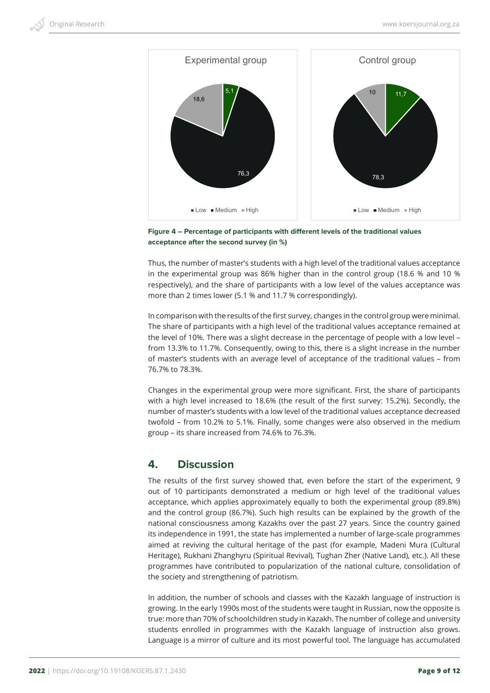



Thus, the number of master's students with a high level of the traditional values acceptance in the experimental group was 86% higher than in the control group (18.6 % and 10 % respectively), and the share of participants with a low level of the values acceptance was more than 2 times lower (5.1 % and 11.7 % correspondingly).

In comparison with the results of the first survey, changes in the control group were minimal. The share of participants with a high level of the traditional values acceptance remained at the level of 10%. There was a slight decrease in the percentage of people with a low level – from 13.3% to 11.7%. Consequently, owing to this, there is a slight increase in the number of master's students with an average level of acceptance of the traditional values – from 76.7% to 78.3%.

Changes in the experimental group were more significant. First, the share of participants with a high level increased to 18.6% (the result of the first survey: 15.2%). Secondly, the number of master's students with a low level of the traditional values acceptance decreased twofold – from 10.2% to 5.1%. Finally, some changes were also observed in the medium group – its share increased from 74.6% to 76.3%.

# **4. Discussion**

The results of the first survey showed that, even before the start of the experiment, 9 out of 10 participants demonstrated a medium or high level of the traditional values acceptance, which applies approximately equally to both the experimental group (89.8%) and the control group (86.7%). Such high results can be explained by the growth of the national consciousness among Kazakhs over the past 27 years. Since the country gained its independence in 1991, the state has implemented a number of large-scale programmes aimed at reviving the cultural heritage of the past (for example, Madeni Mura (Cultural Heritage), Rukhani Zhanghyru (Spiritual Revival), Tughan Zher (Native Land), etc.). All these programmes have contributed to popularization of the national culture, consolidation of the society and strengthening of patriotism.

In addition, the number of schools and classes with the Kazakh language of instruction is growing. In the early 1990s most of the students were taught in Russian, now the opposite is true: more than 70% of schoolchildren study in Kazakh. The number of college and university students enrolled in programmes with the Kazakh language of instruction also grows. Language is a mirror of culture and its most powerful tool. The language has accumulated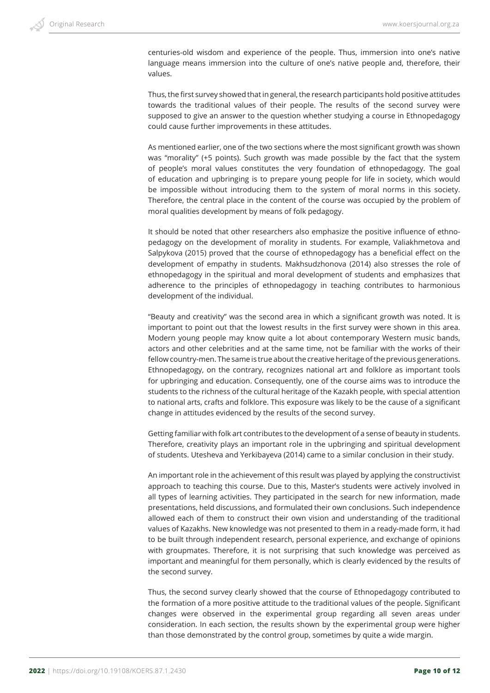centuries-old wisdom and experience of the people. Thus, immersion into one's native language means immersion into the culture of one's native people and, therefore, their values.

Thus, the first survey showed that in general, the research participants hold positive attitudes towards the traditional values of their people. The results of the second survey were supposed to give an answer to the question whether studying a course in Ethnopedagogy could cause further improvements in these attitudes.

As mentioned earlier, one of the two sections where the most significant growth was shown was "morality" (+5 points). Such growth was made possible by the fact that the system of people's moral values constitutes the very foundation of ethnopedagogy. The goal of education and upbringing is to prepare young people for life in society, which would be impossible without introducing them to the system of moral norms in this society. Therefore, the central place in the content of the course was occupied by the problem of moral qualities development by means of folk pedagogy.

It should be noted that other researchers also emphasize the positive influence of ethnopedagogy on the development of morality in students. For example, Valiakhmetova and Salpykova (2015) proved that the course of ethnopedagogy has a beneficial effect on the development of empathy in students. Makhsudzhonova (2014) also stresses the role of ethnopedagogy in the spiritual and moral development of students and emphasizes that adherence to the principles of ethnopedagogy in teaching contributes to harmonious development of the individual.

"Beauty and creativity" was the second area in which a significant growth was noted. It is important to point out that the lowest results in the first survey were shown in this area. Modern young people may know quite a lot about contemporary Western music bands, actors and other celebrities and at the same time, not be familiar with the works of their fellow country-men. The same is true about the creative heritage of the previous generations. Ethnopedagogy, on the contrary, recognizes national art and folklore as important tools for upbringing and education. Consequently, one of the course aims was to introduce the students to the richness of the cultural heritage of the Kazakh people, with special attention to national arts, crafts and folklore. This exposure was likely to be the cause of a significant change in attitudes evidenced by the results of the second survey.

Getting familiar with folk art contributes to the development of a sense of beauty in students. Therefore, creativity plays an important role in the upbringing and spiritual development of students. Utesheva and Yerkibayeva (2014) came to a similar conclusion in their study.

An important role in the achievement of this result was played by applying the constructivist approach to teaching this course. Due to this, Master's students were actively involved in all types of learning activities. They participated in the search for new information, made presentations, held discussions, and formulated their own conclusions. Such independence allowed each of them to construct their own vision and understanding of the traditional values of Kazakhs. New knowledge was not presented to them in a ready-made form, it had to be built through independent research, personal experience, and exchange of opinions with groupmates. Therefore, it is not surprising that such knowledge was perceived as important and meaningful for them personally, which is clearly evidenced by the results of the second survey.

Thus, the second survey clearly showed that the course of Ethnopedagogy contributed to the formation of a more positive attitude to the traditional values of the people. Significant changes were observed in the experimental group regarding all seven areas under consideration. In each section, the results shown by the experimental group were higher than those demonstrated by the control group, sometimes by quite a wide margin.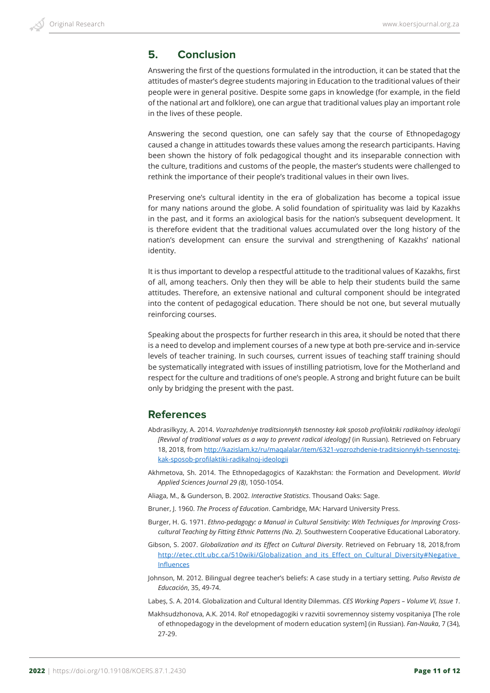# **5. Conclusion**

Answering the first of the questions formulated in the introduction, it can be stated that the attitudes of master's degree students majoring in Education to the traditional values of their people were in general positive. Despite some gaps in knowledge (for example, in the field of the national art and folklore), one can argue that traditional values play an important role in the lives of these people.

Answering the second question, one can safely say that the course of Ethnopedagogy caused a change in attitudes towards these values among the research participants. Having been shown the history of folk pedagogical thought and its inseparable connection with the culture, traditions and customs of the people, the master's students were challenged to rethink the importance of their people's traditional values in their own lives.

Preserving one's cultural identity in the era of globalization has become a topical issue for many nations around the globe. A solid foundation of spirituality was laid by Kazakhs in the past, and it forms an axiological basis for the nation's subsequent development. It is therefore evident that the traditional values accumulated over the long history of the nation's development can ensure the survival and strengthening of Kazakhs' national identity.

It is thus important to develop a respectful attitude to the traditional values of Kazakhs, first of all, among teachers. Only then they will be able to help their students build the same attitudes. Therefore, an extensive national and cultural component should be integrated into the content of pedagogical education. There should be not one, but several mutually reinforcing courses.

Speaking about the prospects for further research in this area, it should be noted that there is a need to develop and implement courses of a new type at both pre-service and in-service levels of teacher training. In such courses, current issues of teaching staff training should be systematically integrated with issues of instilling patriotism, love for the Motherland and respect for the culture and traditions of one's people. A strong and bright future can be built only by bridging the present with the past.

# **References**

- Abdrasilkyzy, А. 2014. *Vozrozhdeniye traditsionnykh tsennostey kak sposob profilaktiki radikalnoy ideologii [Revival of traditional values as a way to prevent radical ideology]* (in Russian). Retrieved on February 18, 2018, from http://kazislam.kz/ru/maqalalar/item/6321-vozrozhdenie-traditsionnykh-tsennostejkak-sposob-profilaktiki-radikalnoj-ideologii
- Akhmetova, Sh. 2014. The Ethnopedagogics of Kazakhstan: the Formation and Development. *World Applied Sciences Journal 29 (8)*, 1050-1054.
- Aliaga, M., & Gunderson, B. 2002. *Interactive Statistics*. Thousand Oaks: Sage.
- Bruner, J. 1960. *The Process of Education*. Cambridge, MA: Harvard University Press.
- Burger, H. G. 1971. *Ethno-pedagogy: a Manual in Cultural Sensitivity: With Techniques for Improving Crosscultural Teaching by Fitting Ethnic Patterns (No. 2)*. Southwestern Cooperative Educational Laboratory.
- Gibson, S. 2007. *Globalization and its Effect on Cultural Diversity*. Retrieved on February 18, 2018,from http://etec.ctlt.ubc.ca/510wiki/Globalization\_and\_its\_Effect\_on\_Cultural\_Diversity#Negative Influences
- Johnson, M. 2012. Bilingual degree teacher's beliefs: A case study in a tertiary setting. *Pulso Revista de Educación*, 35, 49-74.

Labeș, S. A. 2014. Globalization and Cultural Identity Dilemmas. *CES Working Papers – Volume VI, Issue 1*.

Makhsudzhonova, A.K. 2014. Rol' etnopedagogiki v razvitii sovremennoy sistemy vospitaniya [The role of ethnopedagogy in the development of modern education system] (in Russian). *Fan-Nauka*, 7 (34), 27-29.